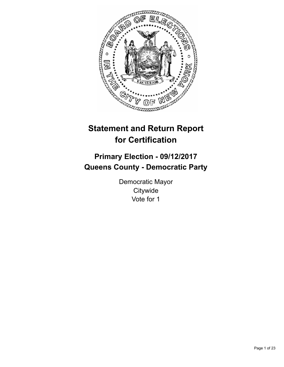

# **Statement and Return Report for Certification**

# **Primary Election - 09/12/2017 Queens County - Democratic Party**

Democratic Mayor **Citywide** Vote for 1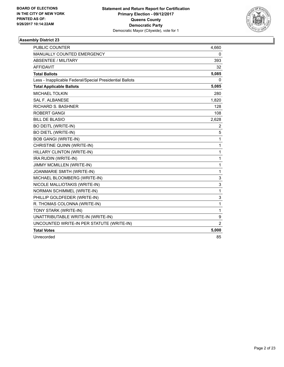

| <b>PUBLIC COUNTER</b>                                    | 4,660        |
|----------------------------------------------------------|--------------|
| <b>MANUALLY COUNTED EMERGENCY</b>                        | 0            |
| <b>ABSENTEE / MILITARY</b>                               | 393          |
| <b>AFFIDAVIT</b>                                         | 32           |
| <b>Total Ballots</b>                                     | 5,085        |
| Less - Inapplicable Federal/Special Presidential Ballots | 0            |
| <b>Total Applicable Ballots</b>                          | 5,085        |
| <b>MICHAEL TOLKIN</b>                                    | 280          |
| <b>SAL F. ALBANESE</b>                                   | 1,820        |
| <b>RICHARD S. BASHNER</b>                                | 128          |
| <b>ROBERT GANGI</b>                                      | 108          |
| <b>BILL DE BLASIO</b>                                    | 2,628        |
| <b>BO DEITL (WRITE-IN)</b>                               | 2            |
| <b>BO DIETL (WRITE-IN)</b>                               | 5            |
| <b>BOB GANGI (WRITE-IN)</b>                              | 1            |
| CHRISTINE QUINN (WRITE-IN)                               | $\mathbf{1}$ |
| HILLARY CLINTON (WRITE-IN)                               | 1            |
| IRA RUDIN (WRITE-IN)                                     | $\mathbf{1}$ |
| JIMMY MCMILLEN (WRITE-IN)                                | $\mathbf{1}$ |
| JOANMARIE SMITH (WRITE-IN)                               | $\mathbf{1}$ |
| MICHAEL BLOOMBERG (WRITE-IN)                             | 3            |
| NICOLE MALLIOTAKIS (WRITE-IN)                            | 3            |
| NORMAN SCHIMMEL (WRITE-IN)                               | $\mathbf{1}$ |
| PHILLIP GOLDFEDER (WRITE-IN)                             | 3            |
| R. THOMAS COLONNA (WRITE-IN)                             | 1            |
| TONY STARK (WRITE-IN)                                    | $\mathbf{1}$ |
| UNATTRIBUTABLE WRITE-IN (WRITE-IN)                       | 9            |
| UNCOUNTED WRITE-IN PER STATUTE (WRITE-IN)                | 2            |
| <b>Total Votes</b>                                       | 5,000        |
| Unrecorded                                               | 85           |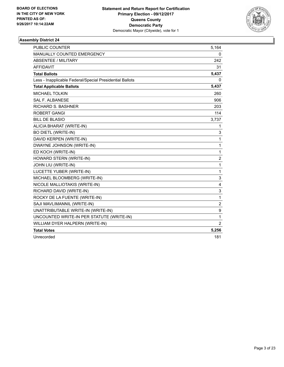

| <b>PUBLIC COUNTER</b>                                    | 5,164          |
|----------------------------------------------------------|----------------|
| MANUALLY COUNTED EMERGENCY                               | 0              |
| <b>ABSENTEE / MILITARY</b>                               | 242            |
| <b>AFFIDAVIT</b>                                         | 31             |
| <b>Total Ballots</b>                                     | 5,437          |
| Less - Inapplicable Federal/Special Presidential Ballots | 0              |
| <b>Total Applicable Ballots</b>                          | 5,437          |
| <b>MICHAEL TOLKIN</b>                                    | 260            |
| <b>SAL F. ALBANESE</b>                                   | 906            |
| <b>RICHARD S. BASHNER</b>                                | 203            |
| <b>ROBERT GANGI</b>                                      | 114            |
| <b>BILL DE BLASIO</b>                                    | 3,737          |
| ALICIA BHARAT (WRITE-IN)                                 | 1              |
| <b>BO DIETL (WRITE-IN)</b>                               | 3              |
| DAVID KERPEN (WRITE-IN)                                  | 1              |
| DWAYNE JOHNSON (WRITE-IN)                                | $\mathbf{1}$   |
| ED KOCH (WRITE-IN)                                       | 1              |
| HOWARD STERN (WRITE-IN)                                  | $\overline{2}$ |
| JOHN LIU (WRITE-IN)                                      | $\mathbf 1$    |
| LUCETTE YUBER (WRITE-IN)                                 | $\mathbf 1$    |
| MICHAEL BLOOMBERG (WRITE-IN)                             | 3              |
| NICOLE MALLIOTAKIS (WRITE-IN)                            | 4              |
| RICHARD DAVID (WRITE-IN)                                 | 3              |
| ROCKY DE LA FUENTE (WRITE-IN)                            | 1              |
| SAJI MAVLIMANNIL (WRITE-IN)                              | $\overline{c}$ |
| UNATTRIBUTABLE WRITE-IN (WRITE-IN)                       | 9              |
| UNCOUNTED WRITE-IN PER STATUTE (WRITE-IN)                | 1              |
| WILLIAM DYER HALPERN (WRITE-IN)                          | $\overline{2}$ |
| <b>Total Votes</b>                                       | 5,256          |
| Unrecorded                                               | 181            |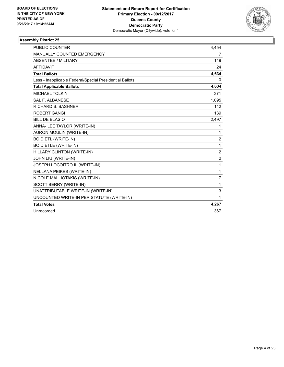

| <b>PUBLIC COUNTER</b>                                    | 4,454          |
|----------------------------------------------------------|----------------|
| MANUALLY COUNTED EMERGENCY                               | 7              |
| <b>ABSENTEE / MILITARY</b>                               | 149            |
| <b>AFFIDAVIT</b>                                         | 24             |
| <b>Total Ballots</b>                                     | 4,634          |
| Less - Inapplicable Federal/Special Presidential Ballots | 0              |
| <b>Total Applicable Ballots</b>                          | 4,634          |
| <b>MICHAEL TOLKIN</b>                                    | 371            |
| <b>SAL F. ALBANESE</b>                                   | 1,095          |
| <b>RICHARD S. BASHNER</b>                                | 142            |
| <b>ROBERT GANGI</b>                                      | 139            |
| <b>BILL DE BLASIO</b>                                    | 2,497          |
| ANNA- LEE TAYLOR (WRITE-IN)                              | 1              |
| AURON MOULIN (WRITE-IN)                                  | 1              |
| <b>BO DIETL (WRITE-IN)</b>                               | $\overline{2}$ |
| <b>BO DIETLE (WRITE-IN)</b>                              | 1              |
| HILLARY CLINTON (WRITE-IN)                               | $\overline{2}$ |
| JOHN LIU (WRITE-IN)                                      | $\overline{2}$ |
| JOSEPH LOCOITRO III (WRITE-IN)                           | 1              |
| <b>NELLANA PEIKES (WRITE-IN)</b>                         | 1              |
| NICOLE MALLIOTAKIS (WRITE-IN)                            | $\overline{7}$ |
| <b>SCOTT BERRY (WRITE-IN)</b>                            | 1              |
| UNATTRIBUTABLE WRITE-IN (WRITE-IN)                       | 3              |
| UNCOUNTED WRITE-IN PER STATUTE (WRITE-IN)                | 1              |
| <b>Total Votes</b>                                       | 4,267          |
| Unrecorded                                               | 367            |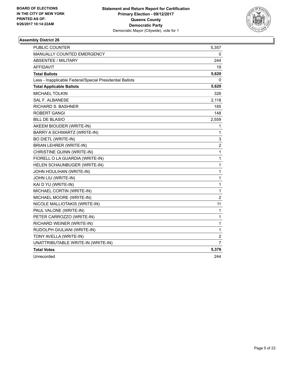

| <b>PUBLIC COUNTER</b>                                    | 5,357          |
|----------------------------------------------------------|----------------|
| MANUALLY COUNTED EMERGENCY                               | 0              |
| <b>ABSENTEE / MILITARY</b>                               | 244            |
| <b>AFFIDAVIT</b>                                         | 19             |
| <b>Total Ballots</b>                                     | 5,620          |
| Less - Inapplicable Federal/Special Presidential Ballots | 0              |
| <b>Total Applicable Ballots</b>                          | 5,620          |
| <b>MICHAEL TOLKIN</b>                                    | 326            |
| <b>SAL F. ALBANESE</b>                                   | 2,118          |
| RICHARD S. BASHNER                                       | 185            |
| ROBERT GANGI                                             | 148            |
| <b>BILL DE BLASIO</b>                                    | 2,559          |
| AKEEM BIOUDER (WRITE-IN)                                 | 1              |
| BARRY A SCHWARTZ (WRITE-IN)                              | 1              |
| <b>BO DIETL (WRITE-IN)</b>                               | 3              |
| <b>BRIAN LEHRER (WRITE-IN)</b>                           | $\overline{2}$ |
| CHRISTINE QUINN (WRITE-IN)                               | $\mathbf 1$    |
| FIORELL O LA GUARDIA (WRITE-IN)                          | $\mathbf 1$    |
| HELEN SCHAUNBUGER (WRITE-IN)                             | $\mathbf 1$    |
| <b>JOHN HOULIHAN (WRITE-IN)</b>                          | $\mathbf 1$    |
| JOHN LIU (WRITE-IN)                                      | $\mathbf{1}$   |
| KAI D YU (WRITE-IN)                                      | 1              |
| MICHAEL CORTIN (WRITE-IN)                                | $\mathbf 1$    |
| MICHAEL MOORE (WRITE-IN)                                 | $\overline{2}$ |
| NICOLE MALLIOTAKIS (WRITE-IN)                            | 11             |
| PAUL VALONE (WRITE-IN)                                   | $\mathbf{1}$   |
| PETER CARROZZO (WRITE-IN)                                | 1              |
| RICHARD WEINER (WRITE-IN)                                | $\mathbf{1}$   |
| RUDOLPH GIULIANI (WRITE-IN)                              | 1              |
| TONY AVELLA (WRITE-IN)                                   | 2              |
| UNATTRIBUTABLE WRITE-IN (WRITE-IN)                       | 7              |
| <b>Total Votes</b>                                       | 5,376          |
| Unrecorded                                               | 244            |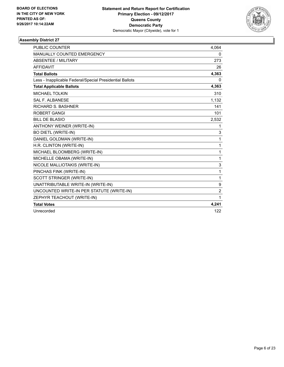

| <b>PUBLIC COUNTER</b>                                    | 4,064          |
|----------------------------------------------------------|----------------|
| MANUALLY COUNTED EMERGENCY                               | 0              |
| <b>ABSENTEE / MILITARY</b>                               | 273            |
| <b>AFFIDAVIT</b>                                         | 26             |
| <b>Total Ballots</b>                                     | 4,363          |
| Less - Inapplicable Federal/Special Presidential Ballots | 0              |
| <b>Total Applicable Ballots</b>                          | 4,363          |
| <b>MICHAEL TOLKIN</b>                                    | 310            |
| <b>SAL F. ALBANESE</b>                                   | 1,132          |
| <b>RICHARD S. BASHNER</b>                                | 141            |
| <b>ROBERT GANGI</b>                                      | 101            |
| <b>BILL DE BLASIO</b>                                    | 2.532          |
| ANTHONY WEINER (WRITE-IN)                                | 1              |
| <b>BO DIETL (WRITE-IN)</b>                               | 3              |
| DANIEL GOLDMAN (WRITE-IN)                                | 1              |
| H.R. CLINTON (WRITE-IN)                                  | 1              |
| MICHAEL BLOOMBERG (WRITE-IN)                             | $\mathbf{1}$   |
| MICHELLE OBAMA (WRITE-IN)                                | 1              |
| NICOLE MALLIOTAKIS (WRITE-IN)                            | 3              |
| PINCHAS FINK (WRITE-IN)                                  | 1              |
| SCOTT STRINGER (WRITE-IN)                                | 1              |
| UNATTRIBUTABLE WRITE-IN (WRITE-IN)                       | 9              |
| UNCOUNTED WRITE-IN PER STATUTE (WRITE-IN)                | $\overline{2}$ |
| ZEPHYR TEACHOUT (WRITE-IN)                               | 1              |
| <b>Total Votes</b>                                       | 4,241          |
| Unrecorded                                               | 122            |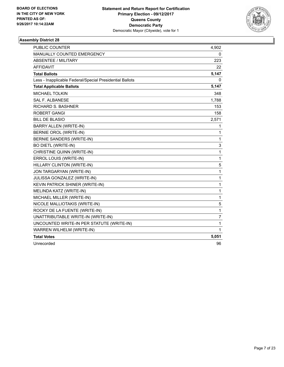

| <b>PUBLIC COUNTER</b>                                    | 4,902          |
|----------------------------------------------------------|----------------|
| MANUALLY COUNTED EMERGENCY                               | 0              |
| <b>ABSENTEE / MILITARY</b>                               | 223            |
| <b>AFFIDAVIT</b>                                         | 22             |
| <b>Total Ballots</b>                                     | 5,147          |
| Less - Inapplicable Federal/Special Presidential Ballots | 0              |
| <b>Total Applicable Ballots</b>                          | 5,147          |
| <b>MICHAEL TOLKIN</b>                                    | 348            |
| <b>SAL F. ALBANESE</b>                                   | 1,788          |
| <b>RICHARD S. BASHNER</b>                                | 153            |
| ROBERT GANGI                                             | 158            |
| <b>BILL DE BLASIO</b>                                    | 2,571          |
| BARRY ALLEN (WRITE-IN)                                   | 1              |
| BERNIE OROL (WRITE-IN)                                   | 1              |
| <b>BERNIE SANDERS (WRITE-IN)</b>                         | $\mathbf{1}$   |
| <b>BO DIETL (WRITE-IN)</b>                               | 3              |
| CHRISTINE QUINN (WRITE-IN)                               | $\mathbf 1$    |
| ERROL LOUIS (WRITE-IN)                                   | $\mathbf{1}$   |
| HILLARY CLINTON (WRITE-IN)                               | 5              |
| JON TARGARYAN (WRITE-IN)                                 | 1              |
| JULISSA GONZALEZ (WRITE-IN)                              | 1              |
| KEVIN PATRICK SHINER (WRITE-IN)                          | $\mathbf{1}$   |
| MELINDA KATZ (WRITE-IN)                                  | $\mathbf{1}$   |
| MICHAEL MILLER (WRITE-IN)                                | 1              |
| NICOLE MALLIOTAKIS (WRITE-IN)                            | 5              |
| ROCKY DE LA FUENTE (WRITE-IN)                            | $\mathbf{1}$   |
| UNATTRIBUTABLE WRITE-IN (WRITE-IN)                       | $\overline{7}$ |
| UNCOUNTED WRITE-IN PER STATUTE (WRITE-IN)                | 1              |
| WARREN WILHELM (WRITE-IN)                                | 1              |
| <b>Total Votes</b>                                       | 5,051          |
| Unrecorded                                               | 96             |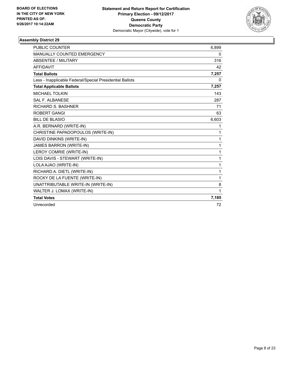

| <b>PUBLIC COUNTER</b>                                    | 6,899 |
|----------------------------------------------------------|-------|
| MANUALLY COUNTED EMERGENCY                               | 0     |
| <b>ABSENTEE / MILITARY</b>                               | 316   |
| <b>AFFIDAVIT</b>                                         | 42    |
| <b>Total Ballots</b>                                     | 7,257 |
| Less - Inapplicable Federal/Special Presidential Ballots | 0     |
| <b>Total Applicable Ballots</b>                          | 7,257 |
| <b>MICHAEL TOLKIN</b>                                    | 143   |
| <b>SAL F. ALBANESE</b>                                   | 287   |
| RICHARD S. BASHNER                                       | 71    |
| ROBERT GANGI                                             | 63    |
| <b>BILL DE BLASIO</b>                                    | 6,603 |
| A.R. BERNARD (WRITE-IN)                                  | 1     |
| CHRISTINE PAPADOPOULOS (WRITE-IN)                        | 1     |
| DAVID DINKINS (WRITE-IN)                                 | 1     |
| <b>JAMES BARRON (WRITE-IN)</b>                           | 1     |
| LEROY COMRIE (WRITE-IN)                                  | 1     |
| LOIS DAVIS - STEWART (WRITE-IN)                          | 1     |
| LOLA AJAO (WRITE-IN)                                     | 1     |
| RICHARD A. DIETL (WRITE-IN)                              | 1     |
| ROCKY DE LA FUENTE (WRITE-IN)                            | 1     |
| UNATTRIBUTABLE WRITE-IN (WRITE-IN)                       | 8     |
| WALTER J. LOMAX (WRITE-IN)                               | 1     |
| <b>Total Votes</b>                                       | 7,185 |
| Unrecorded                                               | 72    |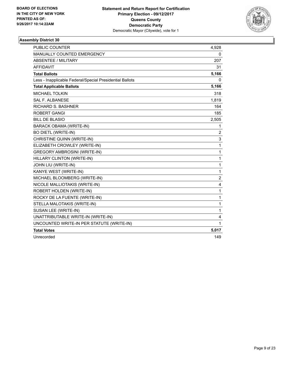

| <b>PUBLIC COUNTER</b>                                    | 4,928          |
|----------------------------------------------------------|----------------|
| MANUALLY COUNTED EMERGENCY                               | 0              |
| <b>ABSENTEE / MILITARY</b>                               | 207            |
| <b>AFFIDAVIT</b>                                         | 31             |
| <b>Total Ballots</b>                                     | 5,166          |
| Less - Inapplicable Federal/Special Presidential Ballots | 0              |
| <b>Total Applicable Ballots</b>                          | 5,166          |
| <b>MICHAEL TOLKIN</b>                                    | 318            |
| <b>SAL F. ALBANESE</b>                                   | 1,819          |
| RICHARD S. BASHNER                                       | 164            |
| <b>ROBERT GANGI</b>                                      | 185            |
| <b>BILL DE BLASIO</b>                                    | 2,505          |
| <b>BARACK OBAMA (WRITE-IN)</b>                           | 1              |
| <b>BO DIETL (WRITE-IN)</b>                               | 2              |
| CHRISTINE QUINN (WRITE-IN)                               | 3              |
| ELIZABETH CROWLEY (WRITE-IN)                             | 1              |
| <b>GREGORY AMBROSINI (WRITE-IN)</b>                      | 1              |
| HILLARY CLINTON (WRITE-IN)                               | 1              |
| JOHN LIU (WRITE-IN)                                      | 1              |
| KANYE WEST (WRITE-IN)                                    | $\mathbf{1}$   |
| MICHAEL BLOOMBERG (WRITE-IN)                             | $\overline{c}$ |
| NICOLE MALLIOTAKIS (WRITE-IN)                            | 4              |
| ROBERT HOLDEN (WRITE-IN)                                 | 1              |
| ROCKY DE LA FUENTE (WRITE-IN)                            | 1              |
| STELLA MALOTAKIS (WRITE-IN)                              | 1              |
| SUSAN LEE (WRITE-IN)                                     | 1              |
| UNATTRIBUTABLE WRITE-IN (WRITE-IN)                       | 4              |
| UNCOUNTED WRITE-IN PER STATUTE (WRITE-IN)                | 1              |
| <b>Total Votes</b>                                       | 5,017          |
| Unrecorded                                               | 149            |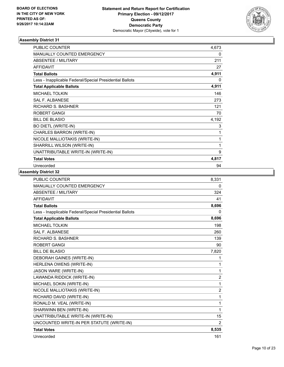

| <b>PUBLIC COUNTER</b>                                    | 4,673 |
|----------------------------------------------------------|-------|
| <b>MANUALLY COUNTED EMERGENCY</b>                        | 0     |
| ABSENTEE / MILITARY                                      | 211   |
| <b>AFFIDAVIT</b>                                         | 27    |
| <b>Total Ballots</b>                                     | 4,911 |
| Less - Inapplicable Federal/Special Presidential Ballots | 0     |
| <b>Total Applicable Ballots</b>                          | 4,911 |
| <b>MICHAEL TOLKIN</b>                                    | 146   |
| <b>SAL F. ALBANESE</b>                                   | 273   |
| RICHARD S. BASHNER                                       | 121   |
| <b>ROBERT GANGI</b>                                      | 70    |
| <b>BILL DE BLASIO</b>                                    | 4,192 |
| <b>BO DIETL (WRITE-IN)</b>                               | 3     |
| CHARLES BARRON (WRITE-IN)                                | 1     |
| NICOLE MALLIOTAKIS (WRITE-IN)                            | 1     |
| SHARRILL WILSON (WRITE-IN)                               | 1     |
| UNATTRIBUTABLE WRITE-IN (WRITE-IN)                       | 9     |
| <b>Total Votes</b>                                       | 4,817 |
| Unrecorded                                               | 94    |

| <b>PUBLIC COUNTER</b>                                    | 8,331          |
|----------------------------------------------------------|----------------|
| MANUALLY COUNTED EMERGENCY                               | 0              |
| <b>ABSENTEE / MILITARY</b>                               | 324            |
| <b>AFFIDAVIT</b>                                         | 41             |
| <b>Total Ballots</b>                                     | 8,696          |
| Less - Inapplicable Federal/Special Presidential Ballots | 0              |
| <b>Total Applicable Ballots</b>                          | 8,696          |
| <b>MICHAEL TOLKIN</b>                                    | 198            |
| <b>SAL F. ALBANESE</b>                                   | 260            |
| <b>RICHARD S. BASHNER</b>                                | 139            |
| <b>ROBERT GANGI</b>                                      | 90             |
| <b>BILL DE BLASIO</b>                                    | 7,820          |
| <b>DEBORAH GAINES (WRITE-IN)</b>                         | 1              |
| HERLENA OWENS (WRITE-IN)                                 | 1              |
| JASON WARE (WRITE-IN)                                    | 1              |
| LAWANDA RIDDICK (WRITE-IN)                               | $\overline{2}$ |
| MICHAEL SOKIN (WRITE-IN)                                 | 1              |
| NICOLE MALLIOTAKIS (WRITE-IN)                            | $\overline{2}$ |
| RICHARD DAVID (WRITE-IN)                                 | 1              |
| RONALD M. VEAL (WRITE-IN)                                | 1              |
| SHARWINN BEN (WRITE-IN)                                  | 1              |
| UNATTRIBUTABLE WRITE-IN (WRITE-IN)                       | 15             |
| UNCOUNTED WRITE-IN PER STATUTE (WRITE-IN)                | 2              |
| <b>Total Votes</b>                                       | 8,535          |
| Unrecorded                                               | 161            |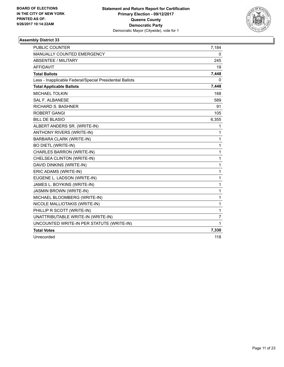

| <b>PUBLIC COUNTER</b>                                    | 7,184          |
|----------------------------------------------------------|----------------|
| MANUALLY COUNTED EMERGENCY                               | 0              |
| <b>ABSENTEE / MILITARY</b>                               | 245            |
| <b>AFFIDAVIT</b>                                         | 19             |
| <b>Total Ballots</b>                                     | 7,448          |
| Less - Inapplicable Federal/Special Presidential Ballots | 0              |
| <b>Total Applicable Ballots</b>                          | 7,448          |
| <b>MICHAEL TOLKIN</b>                                    | 168            |
| <b>SAL F. ALBANESE</b>                                   | 589            |
| <b>RICHARD S. BASHNER</b>                                | 91             |
| <b>ROBERT GANGI</b>                                      | 105            |
| <b>BILL DE BLASIO</b>                                    | 6,355          |
| ALBERT ANDERS SR. (WRITE-IN)                             | 1              |
| ANTHONY RIVERS (WRITE-IN)                                | 1              |
| BARBARA CLARK (WRITE-IN)                                 | 1              |
| <b>BO DIETL (WRITE-IN)</b>                               | 1              |
| CHARLES BARRON (WRITE-IN)                                | 1              |
| CHELSEA CLINTON (WRITE-IN)                               | 1              |
| DAVID DINKINS (WRITE-IN)                                 | 1              |
| ERIC ADAMS (WRITE-IN)                                    | 1              |
| EUGENE L. LADSON (WRITE-IN)                              | 1              |
| JAMES L. BOYKINS (WRITE-IN)                              | 1              |
| <b>JASMIN BROWN (WRITE-IN)</b>                           | 1              |
| MICHAEL BLOOMBERG (WRITE-IN)                             | 1              |
| NICOLE MALLIOTAKIS (WRITE-IN)                            | 1              |
| PHILLIP R SCOTT (WRITE-IN)                               | 1              |
| UNATTRIBUTABLE WRITE-IN (WRITE-IN)                       | $\overline{7}$ |
| UNCOUNTED WRITE-IN PER STATUTE (WRITE-IN)                | 1              |
| <b>Total Votes</b>                                       | 7,330          |
| Unrecorded                                               | 118            |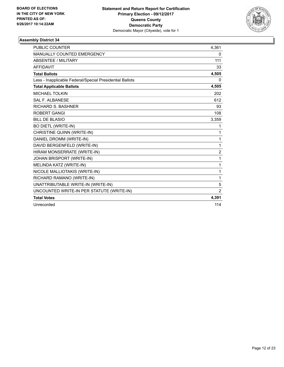

| <b>PUBLIC COUNTER</b>                                    | 4,361          |
|----------------------------------------------------------|----------------|
| MANUALLY COUNTED EMERGENCY                               | 0              |
| <b>ABSENTEE / MILITARY</b>                               | 111            |
| <b>AFFIDAVIT</b>                                         | 33             |
| <b>Total Ballots</b>                                     | 4,505          |
| Less - Inapplicable Federal/Special Presidential Ballots | 0              |
| <b>Total Applicable Ballots</b>                          | 4,505          |
| <b>MICHAEL TOLKIN</b>                                    | 202            |
| <b>SAL F. ALBANESE</b>                                   | 612            |
| <b>RICHARD S. BASHNER</b>                                | 93             |
| <b>ROBERT GANGI</b>                                      | 108            |
| <b>BILL DE BLASIO</b>                                    | 3,359          |
| <b>BO DIETL (WRITE-IN)</b>                               | 1              |
| CHRISTINE QUINN (WRITE-IN)                               | 1              |
| DANIEL DROMM (WRITE-IN)                                  | 1              |
| DAVID BERGENFELD (WRITE-IN)                              | 1              |
| HIRAM MONSERRATE (WRITE-IN)                              | $\overline{2}$ |
| JOHAN BRISPORT (WRITE-IN)                                | 1              |
| MELINDA KATZ (WRITE-IN)                                  | 1              |
| NICOLE MALLIOTAKIS (WRITE-IN)                            | 1              |
| RICHARD RAMANO (WRITE-IN)                                | 1              |
| UNATTRIBUTABLE WRITE-IN (WRITE-IN)                       | 5              |
| UNCOUNTED WRITE-IN PER STATUTE (WRITE-IN)                | 2              |
| <b>Total Votes</b>                                       | 4,391          |
| Unrecorded                                               | 114            |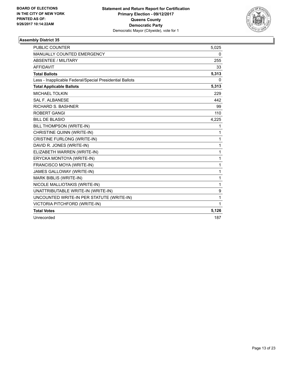

| <b>PUBLIC COUNTER</b>                                    | 5,025 |
|----------------------------------------------------------|-------|
| <b>MANUALLY COUNTED EMERGENCY</b>                        | 0     |
| <b>ABSENTEE / MILITARY</b>                               | 255   |
| <b>AFFIDAVIT</b>                                         | 33    |
| <b>Total Ballots</b>                                     | 5,313 |
| Less - Inapplicable Federal/Special Presidential Ballots | 0     |
| <b>Total Applicable Ballots</b>                          | 5,313 |
| <b>MICHAEL TOLKIN</b>                                    | 229   |
| <b>SAL F. ALBANESE</b>                                   | 442   |
| <b>RICHARD S. BASHNER</b>                                | 99    |
| <b>ROBERT GANGI</b>                                      | 110   |
| <b>BILL DE BLASIO</b>                                    | 4,225 |
| BILL THOMPSON (WRITE-IN)                                 | 1     |
| CHRISTINE QUINN (WRITE-IN)                               | 1     |
| <b>CRISTINE FURLONG (WRITE-IN)</b>                       | 1     |
| DAVID R. JONES (WRITE-IN)                                | 1     |
| ELIZABETH WARREN (WRITE-IN)                              | 1     |
| ERYCKA MONTOYA (WRITE-IN)                                | 1     |
| FRANCISCO MOYA (WRITE-IN)                                | 1     |
| JAMES GALLOWAY (WRITE-IN)                                | 1     |
| MARK BIBLIS (WRITE-IN)                                   | 1     |
| NICOLE MALLIOTAKIS (WRITE-IN)                            | 1     |
| UNATTRIBUTABLE WRITE-IN (WRITE-IN)                       | 9     |
| UNCOUNTED WRITE-IN PER STATUTE (WRITE-IN)                | 1     |
| VICTORIA PITCHFORD (WRITE-IN)                            | 1     |
| <b>Total Votes</b>                                       | 5,126 |
| Unrecorded                                               | 187   |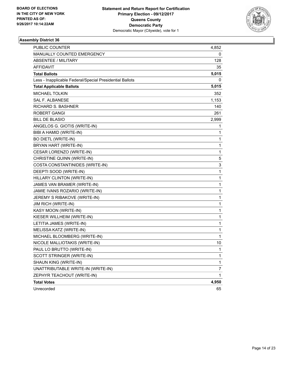

| <b>PUBLIC COUNTER</b>                                    | 4,852          |
|----------------------------------------------------------|----------------|
| MANUALLY COUNTED EMERGENCY                               | 0              |
| ABSENTEE / MILITARY                                      | 128            |
| AFFIDAVIT                                                | 35             |
| <b>Total Ballots</b>                                     | 5,015          |
| Less - Inapplicable Federal/Special Presidential Ballots | 0              |
| <b>Total Applicable Ballots</b>                          | 5,015          |
| <b>MICHAEL TOLKIN</b>                                    | 352            |
| <b>SAL F. ALBANESE</b>                                   | 1,153          |
| <b>RICHARD S. BASHNER</b>                                | 140            |
| <b>ROBERT GANGI</b>                                      | 261            |
| <b>BILL DE BLASIO</b>                                    | 2,999          |
| ANGELOS G. GIOTIS (WRITE-IN)                             | 1              |
| BIBI A HAMID (WRITE-IN)                                  | $\mathbf{1}$   |
| <b>BO DIETL (WRITE-IN)</b>                               | 1              |
| BRYAN HART (WRITE-IN)                                    | 1              |
| CESAR LORENZO (WRITE-IN)                                 | $\mathbf{1}$   |
| CHRISTINE QUINN (WRITE-IN)                               | 5              |
| COSTA CONSTANTINIDES (WRITE-IN)                          | 3              |
| DEEPTI SOOD (WRITE-IN)                                   | $\mathbf{1}$   |
| HILLARY CLINTON (WRITE-IN)                               | 1              |
| JAMES VAN BRAMER (WRITE-IN)                              | 1              |
| JAMIE IVANS ROZARIO (WRITE-IN)                           | $\mathbf{1}$   |
| JEREMY S RIBAKOVE (WRITE-IN)                             | 1              |
| JIM RICH (WRITE-IN)                                      | 1              |
| KASY MOON (WRITE-IN)                                     | 1              |
| KIESER WILLHEIM (WRITE-IN)                               | 1              |
| LETITIA JAMES (WRITE-IN)                                 | 1              |
| MELISSA KATZ (WRITE-IN)                                  | 1              |
| MICHAEL BLOOMBERG (WRITE-IN)                             | 1              |
| NICOLE MALLIOTAKIS (WRITE-IN)                            | 10             |
| PAUL LO BRUTTO (WRITE-IN)                                | $\mathbf{1}$   |
| SCOTT STRINGER (WRITE-IN)                                | 1              |
| SHAUN KING (WRITE-IN)                                    | 1              |
| UNATTRIBUTABLE WRITE-IN (WRITE-IN)                       | $\overline{7}$ |
| ZEPHYR TEACHOUT (WRITE-IN)                               | 1              |
| <b>Total Votes</b>                                       | 4,950          |
| Unrecorded                                               | 65             |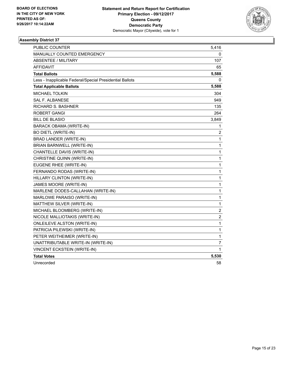

| <b>PUBLIC COUNTER</b>                                    | 5,416                   |
|----------------------------------------------------------|-------------------------|
| <b>MANUALLY COUNTED EMERGENCY</b>                        | 0                       |
| <b>ABSENTEE / MILITARY</b>                               | 107                     |
| <b>AFFIDAVIT</b>                                         | 65                      |
| <b>Total Ballots</b>                                     | 5,588                   |
| Less - Inapplicable Federal/Special Presidential Ballots | 0                       |
| <b>Total Applicable Ballots</b>                          | 5,588                   |
| <b>MICHAEL TOLKIN</b>                                    | 304                     |
| SAL F. ALBANESE                                          | 949                     |
| <b>RICHARD S. BASHNER</b>                                | 135                     |
| ROBERT GANGI                                             | 264                     |
| <b>BILL DE BLASIO</b>                                    | 3,849                   |
| <b>BARACK OBAMA (WRITE-IN)</b>                           | 1                       |
| <b>BO DIETL (WRITE-IN)</b>                               | 2                       |
| BRAD LANDER (WRITE-IN)                                   | 1                       |
| BRIAN BARNWELL (WRITE-IN)                                | 1                       |
| CHANTELLE DAVIS (WRITE-IN)                               | 1                       |
| CHRISTINE QUINN (WRITE-IN)                               | 1                       |
| EUGENE RHEE (WRITE-IN)                                   | 1                       |
| FERNANDO RODAS (WRITE-IN)                                | 1                       |
| HILLARY CLINTON (WRITE-IN)                               | 1                       |
| JAMES MOORE (WRITE-IN)                                   | 1                       |
| MARLENE DODES-CALLAHAN (WRITE-IN)                        | 1                       |
| MARLOWE PARAISO (WRITE-IN)                               | 1                       |
| MATTHEW SILVER (WRITE-IN)                                | 1                       |
| MICHAEL BLOOMBERG (WRITE-IN)                             | $\overline{2}$          |
| NICOLE MALLIOTAKIS (WRITE-IN)                            | $\overline{\mathbf{c}}$ |
| <b>ONLEILEVE ALSTON (WRITE-IN)</b>                       | 1                       |
| PATRICIA PILEWSKI (WRITE-IN)                             | 1                       |
| PETER WEITHEIMER (WRITE-IN)                              | 1                       |
| UNATTRIBUTABLE WRITE-IN (WRITE-IN)                       | 7                       |
| VINCENT ECKSTEIN (WRITE-IN)                              | 1                       |
| <b>Total Votes</b>                                       | 5,530                   |
| Unrecorded                                               | 58                      |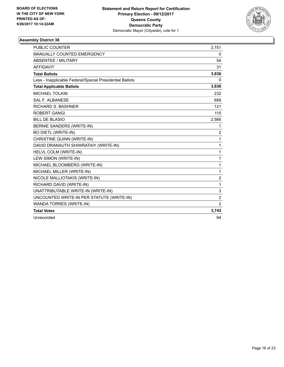

| <b>PUBLIC COUNTER</b>                                    | 3,751          |
|----------------------------------------------------------|----------------|
| <b>MANUALLY COUNTED EMERGENCY</b>                        | 0              |
| <b>ABSENTEE / MILITARY</b>                               | 54             |
| <b>AFFIDAVIT</b>                                         | 31             |
| <b>Total Ballots</b>                                     | 3,836          |
| Less - Inapplicable Federal/Special Presidential Ballots | 0              |
| <b>Total Applicable Ballots</b>                          | 3,836          |
| <b>MICHAEL TOLKIN</b>                                    | 232            |
| <b>SAL F. ALBANESE</b>                                   | 689            |
| <b>RICHARD S. BASHNER</b>                                | 121            |
| <b>ROBERT GANGI</b>                                      | 115            |
| <b>BILL DE BLASIO</b>                                    | 2,566          |
| <b>BERNIE SANDERS (WRITE-IN)</b>                         | 1              |
| <b>BO DIETL (WRITE-IN)</b>                               | $\overline{2}$ |
| CHRISTINE QUINN (WRITE-IN)                               | 1              |
| DAVID DRANAUTH SHIWRATAIY (WRITE-IN)                     | 1              |
| HELVL COLM (WRITE-IN)                                    | 1              |
| LEW SIMON (WRITE-IN)                                     | 1              |
| MICHAEL BLOOMBERG (WRITE-IN)                             | 1              |
| MICHAEL MILLER (WRITE-IN)                                | 1              |
| NICOLE MALLIOTAKIS (WRITE-IN)                            | 2              |
| RICHARD DAVID (WRITE-IN)                                 | 1              |
| UNATTRIBUTABLE WRITE-IN (WRITE-IN)                       | 3              |
| UNCOUNTED WRITE-IN PER STATUTE (WRITE-IN)                | $\overline{2}$ |
| <b>WANDA TORRES (WRITE-IN)</b>                           | $\overline{2}$ |
| <b>Total Votes</b>                                       | 3,742          |
| Unrecorded                                               | 94             |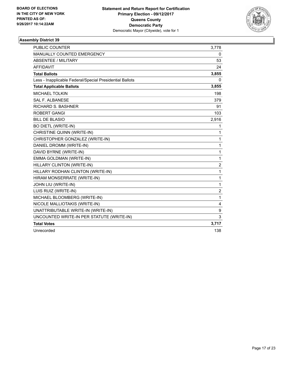

| <b>PUBLIC COUNTER</b>                                    | 3,778          |
|----------------------------------------------------------|----------------|
| MANUALLY COUNTED EMERGENCY                               | 0              |
| <b>ABSENTEE / MILITARY</b>                               | 53             |
| <b>AFFIDAVIT</b>                                         | 24             |
| <b>Total Ballots</b>                                     | 3,855          |
| Less - Inapplicable Federal/Special Presidential Ballots | 0              |
| <b>Total Applicable Ballots</b>                          | 3,855          |
| <b>MICHAEL TOLKIN</b>                                    | 198            |
| <b>SAL F. ALBANESE</b>                                   | 379            |
| <b>RICHARD S. BASHNER</b>                                | 91             |
| <b>ROBERT GANGI</b>                                      | 103            |
| <b>BILL DE BLASIO</b>                                    | 2,916          |
| <b>BO DIETL (WRITE-IN)</b>                               | 1              |
| CHRISTINE QUINN (WRITE-IN)                               | 1              |
| CHRISTOPHER GONZALEZ (WRITE-IN)                          | 1              |
| DANIEL DROMM (WRITE-IN)                                  | 1              |
| DAVID BYRNE (WRITE-IN)                                   | 1              |
| EMMA GOLDMAN (WRITE-IN)                                  | 1              |
| HILLARY CLINTON (WRITE-IN)                               | $\overline{2}$ |
| HILLARY RODHAN CLINTON (WRITE-IN)                        | 1              |
| HIRAM MONSERRATE (WRITE-IN)                              | 1              |
| JOHN LIU (WRITE-IN)                                      | $\mathbf{1}$   |
| LUIS RUIZ (WRITE-IN)                                     | 2              |
| MICHAEL BLOOMBERG (WRITE-IN)                             | $\mathbf{1}$   |
| NICOLE MALLIOTAKIS (WRITE-IN)                            | 4              |
| UNATTRIBUTABLE WRITE-IN (WRITE-IN)                       | 9              |
| UNCOUNTED WRITE-IN PER STATUTE (WRITE-IN)                | 3              |
| <b>Total Votes</b>                                       | 3,717          |
| Unrecorded                                               | 138            |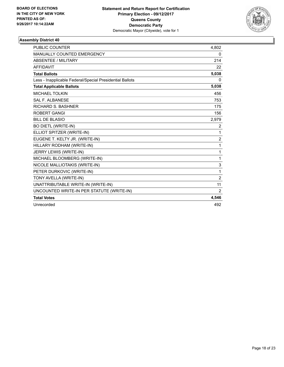

| <b>PUBLIC COUNTER</b>                                    | 4,802          |
|----------------------------------------------------------|----------------|
| MANUALLY COUNTED EMERGENCY                               | 0              |
| <b>ABSENTEE / MILITARY</b>                               | 214            |
| <b>AFFIDAVIT</b>                                         | 22             |
| <b>Total Ballots</b>                                     | 5,038          |
| Less - Inapplicable Federal/Special Presidential Ballots | 0              |
| <b>Total Applicable Ballots</b>                          | 5,038          |
| <b>MICHAEL TOLKIN</b>                                    | 456            |
| <b>SAL F. ALBANESE</b>                                   | 753            |
| <b>RICHARD S. BASHNER</b>                                | 175            |
| <b>ROBERT GANGI</b>                                      | 156            |
| <b>BILL DE BLASIO</b>                                    | 2,979          |
| <b>BO DIETL (WRITE-IN)</b>                               | 2              |
| ELLIOT SPITZER (WRITE-IN)                                | 1              |
| EUGENE T. KELTY JR. (WRITE-IN)                           | $\overline{2}$ |
| HILLARY RODHAM (WRITE-IN)                                | 1              |
| JERRY LEWIS (WRITE-IN)                                   | 1              |
| MICHAEL BLOOMBERG (WRITE-IN)                             | 1              |
| NICOLE MALLIOTAKIS (WRITE-IN)                            | 3              |
| PETER DURKOVIC (WRITE-IN)                                | 1              |
| TONY AVELLA (WRITE-IN)                                   | $\overline{2}$ |
| UNATTRIBUTABLE WRITE-IN (WRITE-IN)                       | 11             |
| UNCOUNTED WRITE-IN PER STATUTE (WRITE-IN)                | 2              |
| <b>Total Votes</b>                                       | 4,546          |
| Unrecorded                                               | 492            |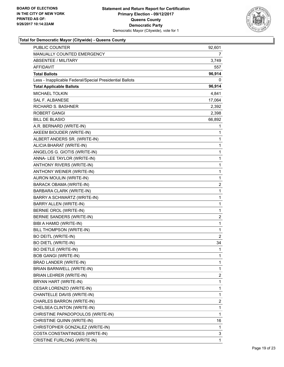

| PUBLIC COUNTER                                           | 92,601         |
|----------------------------------------------------------|----------------|
| MANUALLY COUNTED EMERGENCY                               | 7              |
| <b>ABSENTEE / MILITARY</b>                               | 3,749          |
| AFFIDAVIT                                                | 557            |
| <b>Total Ballots</b>                                     | 96,914         |
| Less - Inapplicable Federal/Special Presidential Ballots | 0              |
| <b>Total Applicable Ballots</b>                          | 96,914         |
| <b>MICHAEL TOLKIN</b>                                    | 4,841          |
| <b>SAL F. ALBANESE</b>                                   | 17,064         |
| <b>RICHARD S. BASHNER</b>                                | 2,392          |
| ROBERT GANGI                                             | 2,398          |
| <b>BILL DE BLASIO</b>                                    | 66,892         |
| A.R. BERNARD (WRITE-IN)                                  | 1              |
| AKEEM BIOUDER (WRITE-IN)                                 | 1              |
| ALBERT ANDERS SR. (WRITE-IN)                             | 1              |
| ALICIA BHARAT (WRITE-IN)                                 | 1              |
| ANGELOS G. GIOTIS (WRITE-IN)                             | 1              |
| ANNA- LEE TAYLOR (WRITE-IN)                              | 1              |
| ANTHONY RIVERS (WRITE-IN)                                | 1              |
| ANTHONY WEINER (WRITE-IN)                                | 1              |
| AURON MOULIN (WRITE-IN)                                  | 1              |
| BARACK OBAMA (WRITE-IN)                                  | $\overline{c}$ |
| BARBARA CLARK (WRITE-IN)                                 | 1              |
| BARRY A SCHWARTZ (WRITE-IN)                              | $\mathbf{1}$   |
| BARRY ALLEN (WRITE-IN)                                   | 1              |
| BERNIE OROL (WRITE-IN)                                   | 1              |
| BERNIE SANDERS (WRITE-IN)                                | 2              |
| BIBI A HAMID (WRITE-IN)                                  | 1              |
| BILL THOMPSON (WRITE-IN)                                 | 1              |
| <b>BO DEITL (WRITE-IN)</b>                               | $\overline{2}$ |
| <b>BO DIETL (WRITE-IN)</b>                               | 34             |
| <b>BO DIETLE (WRITE-IN)</b>                              | $\mathbf{1}$   |
| <b>BOB GANGI (WRITE-IN)</b>                              | 1              |
| BRAD LANDER (WRITE-IN)                                   | 1              |
| BRIAN BARNWELL (WRITE-IN)                                | 1              |
| BRIAN LEHRER (WRITE-IN)                                  | 2              |
| BRYAN HART (WRITE-IN)                                    | 1              |
| CESAR LORENZO (WRITE-IN)                                 | 1              |
| CHANTELLE DAVIS (WRITE-IN)                               | 1              |
| CHARLES BARRON (WRITE-IN)                                | 2              |
| CHELSEA CLINTON (WRITE-IN)                               | 1              |
| CHRISTINE PAPADOPOULOS (WRITE-IN)                        | 1              |
| CHRISTINE QUINN (WRITE-IN)                               | 16             |
| CHRISTOPHER GONZALEZ (WRITE-IN)                          | 1              |
| COSTA CONSTANTINIDES (WRITE-IN)                          | 3              |
| CRISTINE FURLONG (WRITE-IN)                              | 1              |
|                                                          |                |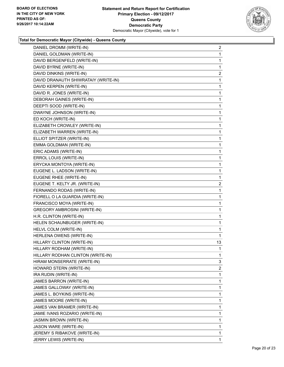

| DANIEL DROMM (WRITE-IN)              | $\mathbf{2}$   |
|--------------------------------------|----------------|
| DANIEL GOLDMAN (WRITE-IN)            | $\mathbf{1}$   |
| DAVID BERGENFELD (WRITE-IN)          | 1              |
| DAVID BYRNE (WRITE-IN)               | 1              |
| DAVID DINKINS (WRITE-IN)             | 2              |
| DAVID DRANAUTH SHIWRATAIY (WRITE-IN) | 1              |
| DAVID KERPEN (WRITE-IN)              | $\mathbf 1$    |
| DAVID R. JONES (WRITE-IN)            | 1              |
| <b>DEBORAH GAINES (WRITE-IN)</b>     | 1              |
| DEEPTI SOOD (WRITE-IN)               | 1              |
| DWAYNE JOHNSON (WRITE-IN)            | 1              |
| ED KOCH (WRITE-IN)                   | 1              |
| ELIZABETH CROWLEY (WRITE-IN)         | 1              |
| ELIZABETH WARREN (WRITE-IN)          | 1              |
| ELLIOT SPITZER (WRITE-IN)            | 1              |
| EMMA GOLDMAN (WRITE-IN)              | 1              |
| ERIC ADAMS (WRITE-IN)                | 1              |
| ERROL LOUIS (WRITE-IN)               | 1              |
| ERYCKA MONTOYA (WRITE-IN)            | $\mathbf 1$    |
| EUGENE L. LADSON (WRITE-IN)          | 1              |
| EUGENE RHEE (WRITE-IN)               | 1              |
| EUGENE T. KELTY JR. (WRITE-IN)       | $\overline{a}$ |
| FERNANDO RODAS (WRITE-IN)            | 1              |
| FIORELL O LA GUARDIA (WRITE-IN)      | 1              |
| FRANCISCO MOYA (WRITE-IN)            | 1              |
| <b>GREGORY AMBROSINI (WRITE-IN)</b>  | 1              |
| H.R. CLINTON (WRITE-IN)              | 1              |
| HELEN SCHAUNBUGER (WRITE-IN)         | 1              |
| HELVL COLM (WRITE-IN)                | 1              |
| HERLENA OWENS (WRITE-IN)             | 1              |
| HILLARY CLINTON (WRITE-IN)           | 13             |
| HILLARY RODHAM (WRITE-IN)            | $\mathbf 1$    |
| HILLARY RODHAN CLINTON (WRITE-IN)    | 1              |
| HIRAM MONSERRATE (WRITE-IN)          | 3              |
| HOWARD STERN (WRITE-IN)              | $\overline{2}$ |
| IRA RUDIN (WRITE-IN)                 | 1              |
| JAMES BARRON (WRITE-IN)              | 1              |
| JAMES GALLOWAY (WRITE-IN)            | 1              |
| JAMES L. BOYKINS (WRITE-IN)          | 1              |
| JAMES MOORE (WRITE-IN)               | 1              |
| JAMES VAN BRAMER (WRITE-IN)          | 1              |
| JAMIE IVANS ROZARIO (WRITE-IN)       | 1              |
| <b>JASMIN BROWN (WRITE-IN)</b>       | 1              |
| JASON WARE (WRITE-IN)                | 1              |
| JEREMY S RIBAKOVE (WRITE-IN)         | 1              |
| JERRY LEWIS (WRITE-IN)               | $\mathbf{1}$   |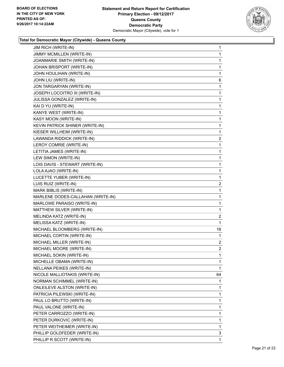

| <b>JIM RICH (WRITE-IN)</b>         | 1              |
|------------------------------------|----------------|
| JIMMY MCMILLEN (WRITE-IN)          | 1              |
| JOANMARIE SMITH (WRITE-IN)         | 1              |
| JOHAN BRISPORT (WRITE-IN)          | 1              |
| JOHN HOULIHAN (WRITE-IN)           | 1              |
| JOHN LIU (WRITE-IN)                | 6              |
| JON TARGARYAN (WRITE-IN)           | 1              |
| JOSEPH LOCOITRO III (WRITE-IN)     | 1              |
| JULISSA GONZALEZ (WRITE-IN)        | 1              |
| KAI D YU (WRITE-IN)                | 1              |
| KANYE WEST (WRITE-IN)              | 1              |
| KASY MOON (WRITE-IN)               | 1              |
| KEVIN PATRICK SHINER (WRITE-IN)    | 1              |
| KIESER WILLHEIM (WRITE-IN)         | 1              |
| LAWANDA RIDDICK (WRITE-IN)         | 2              |
| LEROY COMRIE (WRITE-IN)            | 1              |
| LETITIA JAMES (WRITE-IN)           | 1              |
| LEW SIMON (WRITE-IN)               | 1              |
| LOIS DAVIS - STEWART (WRITE-IN)    | 1              |
| LOLA AJAO (WRITE-IN)               | 1              |
| LUCETTE YUBER (WRITE-IN)           | 1              |
| LUIS RUIZ (WRITE-IN)               | 2              |
| MARK BIBLIS (WRITE-IN)             | 1              |
| MARLENE DODES-CALLAHAN (WRITE-IN)  | 1              |
| MARLOWE PARAISO (WRITE-IN)         | 1              |
| MATTHEW SILVER (WRITE-IN)          | 1              |
| MELINDA KATZ (WRITE-IN)            | 2              |
| MELISSA KATZ (WRITE-IN)            | 1              |
| MICHAEL BLOOMBERG (WRITE-IN)       | 16             |
| MICHAEL CORTIN (WRITE-IN)          | 1              |
| MICHAEL MILLER (WRITE-IN)          | $\mathbf{2}$   |
| MICHAEL MOORE (WRITE-IN)           | $\overline{2}$ |
| MICHAEL SOKIN (WRITE-IN)           | 1              |
| MICHELLE OBAMA (WRITE-IN)          | 1              |
| NELLANA PEIKES (WRITE-IN)          | 1              |
| NICOLE MALLIOTAKIS (WRITE-IN)      | 64             |
| NORMAN SCHIMMEL (WRITE-IN)         | 1              |
| <b>ONLEILEVE ALSTON (WRITE-IN)</b> | 1              |
| PATRICIA PILEWSKI (WRITE-IN)       | 1              |
| PAUL LO BRUTTO (WRITE-IN)          | 1              |
| PAUL VALONE (WRITE-IN)             | 1              |
| PETER CARROZZO (WRITE-IN)          | $\mathbf{1}$   |
| PETER DURKOVIC (WRITE-IN)          | 1              |
| PETER WEITHEIMER (WRITE-IN)        | 1              |
| PHILLIP GOLDFEDER (WRITE-IN)       | 3              |
| PHILLIP R SCOTT (WRITE-IN)         | 1              |
|                                    |                |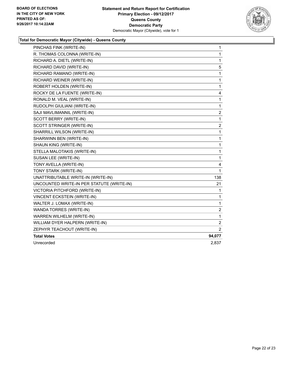

| PINCHAS FINK (WRITE-IN)                   | $\mathbf{1}$            |
|-------------------------------------------|-------------------------|
| R. THOMAS COLONNA (WRITE-IN)              | 1                       |
| RICHARD A. DIETL (WRITE-IN)               | 1                       |
| RICHARD DAVID (WRITE-IN)                  | 5                       |
| RICHARD RAMANO (WRITE-IN)                 | 1                       |
| RICHARD WEINER (WRITE-IN)                 | 1                       |
| ROBERT HOLDEN (WRITE-IN)                  | 1                       |
| ROCKY DE LA FUENTE (WRITE-IN)             | 4                       |
| RONALD M. VEAL (WRITE-IN)                 | 1                       |
| RUDOLPH GIULIANI (WRITE-IN)               | 1                       |
| SAJI MAVLIMANNIL (WRITE-IN)               | $\overline{\mathbf{c}}$ |
| SCOTT BERRY (WRITE-IN)                    | 1                       |
| SCOTT STRINGER (WRITE-IN)                 | 2                       |
| SHARRILL WILSON (WRITE-IN)                | 1                       |
| SHARWINN BEN (WRITE-IN)                   | 1                       |
| SHAUN KING (WRITE-IN)                     | 1                       |
| STELLA MALOTAKIS (WRITE-IN)               | 1                       |
| SUSAN LEE (WRITE-IN)                      | $\mathbf{1}$            |
| TONY AVELLA (WRITE-IN)                    | 4                       |
| TONY STARK (WRITE-IN)                     | 1                       |
| UNATTRIBUTABLE WRITE-IN (WRITE-IN)        | 138                     |
| UNCOUNTED WRITE-IN PER STATUTE (WRITE-IN) | 21                      |
| VICTORIA PITCHFORD (WRITE-IN)             | 1                       |
| <b>VINCENT ECKSTEIN (WRITE-IN)</b>        | 1                       |
| WALTER J. LOMAX (WRITE-IN)                | 1                       |
| <b>WANDA TORRES (WRITE-IN)</b>            | $\overline{c}$          |
| WARREN WILHELM (WRITE-IN)                 | 1                       |
| WILLIAM DYER HALPERN (WRITE-IN)           | 2                       |
| ZEPHYR TEACHOUT (WRITE-IN)                | $\overline{2}$          |
| <b>Total Votes</b>                        | 94,077                  |
| Unrecorded                                | 2,837                   |